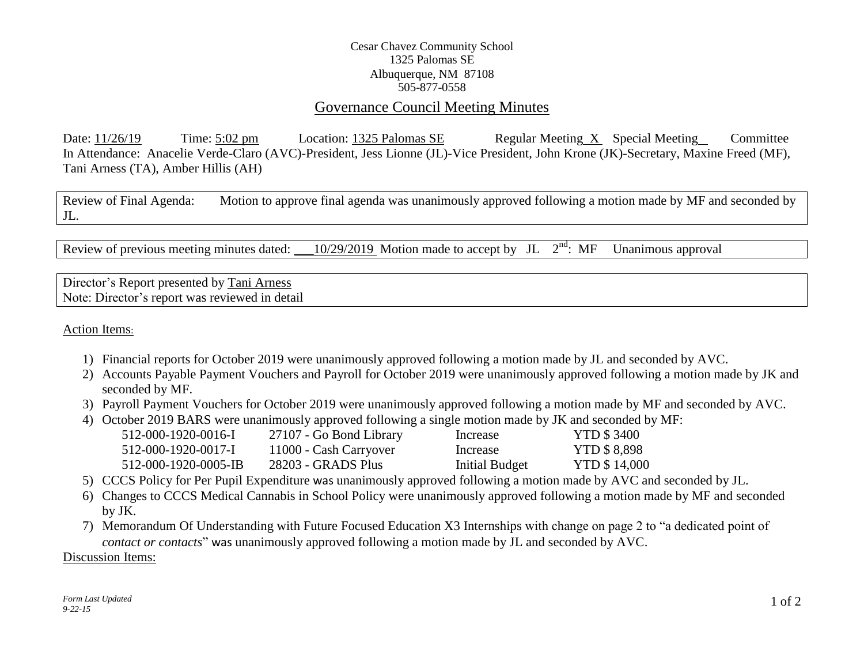## Cesar Chavez Community School 1325 Palomas SE Albuquerque, NM 87108 505-877-0558

## Governance Council Meeting Minutes

Date: 11/26/19 Time: 5:02 pm Location: 1325 Palomas SE Regular Meeting X Special Meeting Committee In Attendance: Anacelie Verde-Claro (AVC)-President, Jess Lionne (JL)-Vice President, John Krone (JK)-Secretary, Maxine Freed (MF), Tani Arness (TA), Amber Hillis (AH)

Review of Final Agenda: Motion to approve final agenda was unanimously approved following a motion made by MF and seconded by JL.

Review of previous meeting minutes dated: \_\_10/29/2019 Motion made to accept by JL  $2<sup>nd</sup>$ : MF Unanimous approval

Director's Report presented by Tani Arness Note: Director's report was reviewed in detail

Action Items:

- 1) Financial reports for October 2019 were unanimously approved following a motion made by JL and seconded by AVC.
- 2) Accounts Payable Payment Vouchers and Payroll for October 2019 were unanimously approved following a motion made by JK and seconded by MF.
- 3) Payroll Payment Vouchers for October 2019 were unanimously approved following a motion made by MF and seconded by AVC.
- 4) October 2019 BARS were unanimously approved following a single motion made by JK and seconded by MF:

| 512-000-1920-0016-I  | 27107 - Go Bond Library | Increase       | <b>YTD \$3400</b>   |
|----------------------|-------------------------|----------------|---------------------|
| 512-000-1920-0017-I  | 11000 - Cash Carryover  | Increase       | <b>YTD \$ 8,898</b> |
| 512-000-1920-0005-IB | 28203 - GRADS Plus      | Initial Budget | <b>YTD \$14,000</b> |

- 5) CCCS Policy for Per Pupil Expenditure was unanimously approved following a motion made by AVC and seconded by JL.
- 6) Changes to CCCS Medical Cannabis in School Policy were unanimously approved following a motion made by MF and seconded by JK.
- 7) Memorandum Of Understanding with Future Focused Education X3 Internships with change on page 2 to "a dedicated point of *contact or contacts*" was unanimously approved following a motion made by JL and seconded by AVC.

Discussion Items: